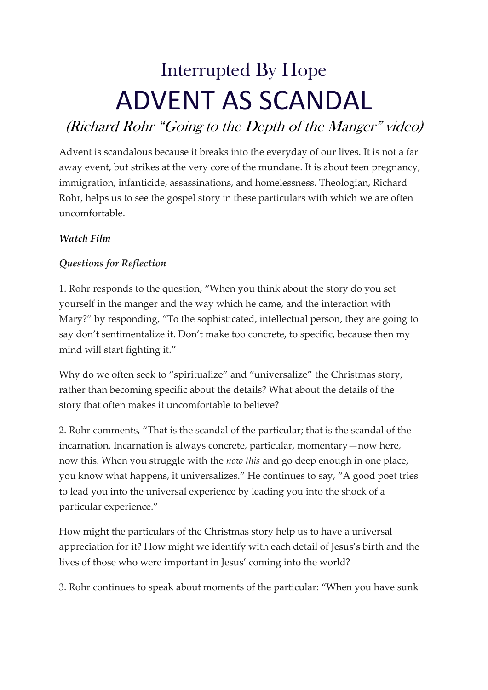## Interrupted By Hope ADVENT AS SCANDAL

## (Richard Rohr "Going to the Depth of the Manger" video)

Advent is scandalous because it breaks into the everyday of our lives. It is not a far away event, but strikes at the very core of the mundane. It is about teen pregnancy, immigration, infanticide, assassinations, and homelessness. Theologian, Richard Rohr, helps us to see the gospel story in these particulars with which we are often uncomfortable.

## *Watch Film*

## *Questions for Reflection*

1. Rohr responds to the question, "When you think about the story do you set yourself in the manger and the way which he came, and the interaction with Mary?" by responding, "To the sophisticated, intellectual person, they are going to say don't sentimentalize it. Don't make too concrete, to specific, because then my mind will start fighting it."

Why do we often seek to "spiritualize" and "universalize" the Christmas story, rather than becoming specific about the details? What about the details of the story that often makes it uncomfortable to believe?

2. Rohr comments, "That is the scandal of the particular; that is the scandal of the incarnation. Incarnation is always concrete, particular, momentary—now here, now this. When you struggle with the *now this* and go deep enough in one place, you know what happens, it universalizes." He continues to say, "A good poet tries to lead you into the universal experience by leading you into the shock of a particular experience."

How might the particulars of the Christmas story help us to have a universal appreciation for it? How might we identify with each detail of Jesus's birth and the lives of those who were important in Jesus' coming into the world?

3. Rohr continues to speak about moments of the particular: "When you have sunk